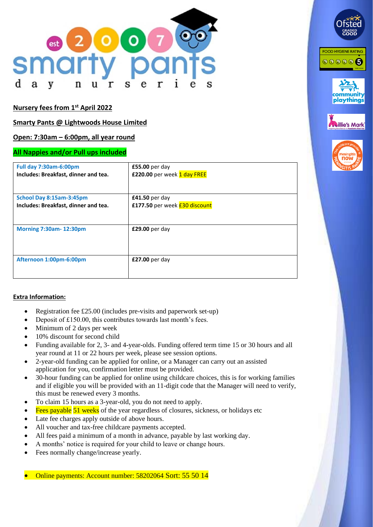

# **Nursery fees from 1 st April 2022**

## **Smarty Pants @ Lightwoods House Limited**

## **Open: 7:30am – 6:00pm, all year round**

#### **All Nappies and/or Pull ups included**

| <b>Full day 7:30am-6:00pm</b>        | $£55.00$ per day              |
|--------------------------------------|-------------------------------|
| Includes: Breakfast, dinner and tea. | £220.00 per week 1 day FREE   |
| School Day 8:15am-3:45pm             | £41.50 per day                |
| Includes: Breakfast, dinner and tea. | £177.50 per week £30 discount |
|                                      |                               |
| <b>Morning 7:30am-12:30pm</b>        | £29.00 per day                |
|                                      |                               |
| Afternoon 1:00pm-6:00pm              | £27.00 per day                |
|                                      |                               |

#### **Extra Information:**

- Registration fee £25.00 (includes pre-visits and paperwork set-up)
- Deposit of £150.00, this contributes towards last month's fees.
- Minimum of 2 days per week
- 10% discount for second child
- Funding available for 2, 3- and 4-year-olds. Funding offered term time 15 or 30 hours and all year round at 11 or 22 hours per week, please see session options.
- 2-year-old funding can be applied for online, or a Manager can carry out an assisted application for you, confirmation letter must be provided.
- 30-hour funding can be applied for online using childcare choices, this is for working families and if eligible you will be provided with an 11-digit code that the Manager will need to verify, this must be renewed every 3 months.
- To claim 15 hours as a 3-year-old, you do not need to apply.
- Fees payable  $\overline{51}$  weeks of the year regardless of closures, sickness, or holidays etc
- Late fee charges apply outside of above hours.
- All voucher and tax-free childcare payments accepted.
- All fees paid a minimum of a month in advance, payable by last working day.
- A months' notice is required for your child to leave or change hours.
- Fees normally change/increase yearly.

• Online payments: Account number: 58202064 Sort: 55 50 14